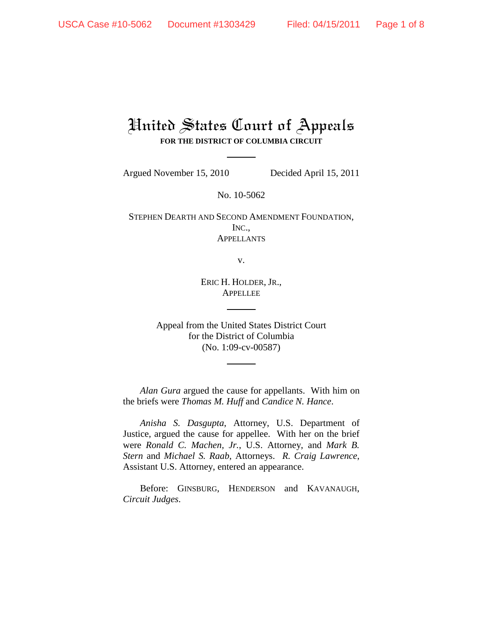# United States Court of Appeals **FOR THE DISTRICT OF COLUMBIA CIRCUIT**

Argued November 15, 2010 Decided April 15, 2011

No. 10-5062

STEPHEN DEARTH AND SECOND AMENDMENT FOUNDATION, INC., **APPELLANTS** 

v.

ERIC H. HOLDER, JR., APPELLEE

Appeal from the United States District Court for the District of Columbia (No. 1:09-cv-00587)

*Alan Gura* argued the cause for appellants. With him on the briefs were *Thomas M. Huff* and *Candice N. Hance*.

*Anisha S. Dasgupta*, Attorney, U.S. Department of Justice, argued the cause for appellee. With her on the brief were *Ronald C. Machen, Jr.*, U.S. Attorney, and *Mark B. Stern* and *Michael S. Raab*, Attorneys. *R. Craig Lawrence*, Assistant U.S. Attorney, entered an appearance.

Before: GINSBURG, HENDERSON and KAVANAUGH, *Circuit Judges*.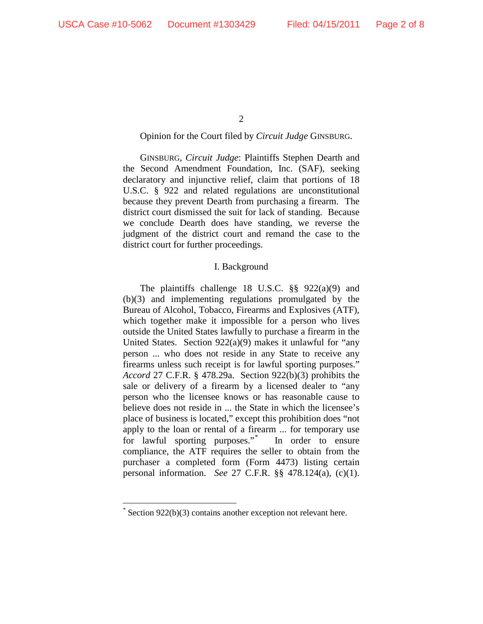$\mathcal{L}$ 

## Opinion for the Court filed by *Circuit Judge* GINSBURG.

GINSBURG, *Circuit Judge*: Plaintiffs Stephen Dearth and the Second Amendment Foundation, Inc. (SAF), seeking declaratory and injunctive relief, claim that portions of 18 U.S.C. § 922 and related regulations are unconstitutional because they prevent Dearth from purchasing a firearm. The district court dismissed the suit for lack of standing. Because we conclude Dearth does have standing, we reverse the judgment of the district court and remand the case to the district court for further proceedings.

#### I. Background

The plaintiffs challenge 18 U.S.C. §§ 922(a)(9) and (b)(3) and implementing regulations promulgated by the Bureau of Alcohol, Tobacco, Firearms and Explosives (ATF), which together make it impossible for a person who lives outside the United States lawfully to purchase a firearm in the United States. Section 922(a)(9) makes it unlawful for "any person ... who does not reside in any State to receive any firearms unless such receipt is for lawful sporting purposes." *Accord* 27 C.F.R. § 478.29a. Section 922(b)(3) prohibits the sale or delivery of a firearm by a licensed dealer to "any person who the licensee knows or has reasonable cause to believe does not reside in ... the State in which the licensee's place of business is located," except this prohibition does "not apply to the loan or rental of a firearm ... for temporary use for lawful sporting purposes."\* In order to ensure compliance, the ATF requires the seller to obtain from the purchaser a completed form (Form 4473) listing certain personal information. *See* 27 C.F.R. §§ 478.124(a), (c)(1).

 <sup>\*</sup> Section 922(b)(3) contains another exception not relevant here.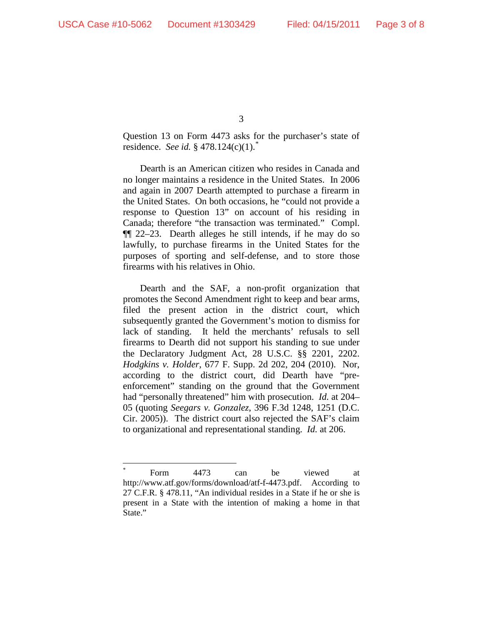Question 13 on Form 4473 asks for the purchaser's state of residence. *See id.* § 478.124(c)(1).\*

Dearth is an American citizen who resides in Canada and no longer maintains a residence in the United States. In 2006 and again in 2007 Dearth attempted to purchase a firearm in the United States. On both occasions, he "could not provide a response to Question 13" on account of his residing in Canada; therefore "the transaction was terminated." Compl. ¶¶ 22–23. Dearth alleges he still intends, if he may do so lawfully, to purchase firearms in the United States for the purposes of sporting and self-defense, and to store those firearms with his relatives in Ohio.

Dearth and the SAF, a non-profit organization that promotes the Second Amendment right to keep and bear arms, filed the present action in the district court, which subsequently granted the Government's motion to dismiss for lack of standing. It held the merchants' refusals to sell firearms to Dearth did not support his standing to sue under the Declaratory Judgment Act, 28 U.S.C. §§ 2201, 2202. *Hodgkins v. Holder*, 677 F. Supp. 2d 202, 204 (2010). Nor, according to the district court, did Dearth have "preenforcement" standing on the ground that the Government had "personally threatened" him with prosecution. *Id.* at 204– 05 (quoting *Seegars v. Gonzalez*, 396 F.3d 1248, 1251 (D.C. Cir. 2005)). The district court also rejected the SAF's claim to organizational and representational standing. *Id.* at 206.

 <sup>\*</sup> Form 4473 can be viewed at http://www.atf.gov/forms/download/atf-f-4473.pdf. According to 27 C.F.R. § 478.11, "An individual resides in a State if he or she is present in a State with the intention of making a home in that State."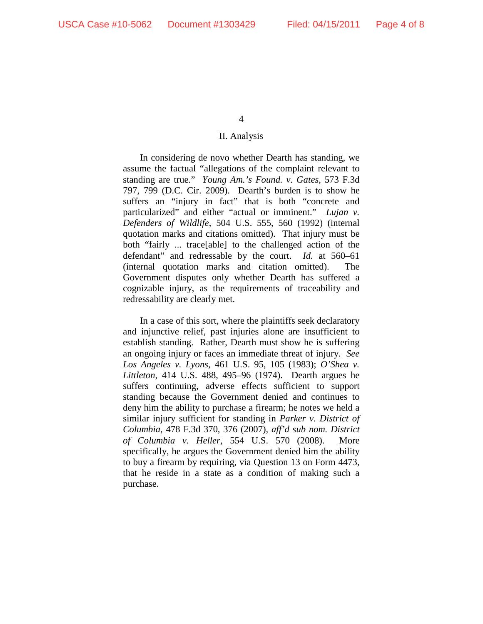#### II. Analysis

In considering de novo whether Dearth has standing, we assume the factual "allegations of the complaint relevant to standing are true." *Young Am.'s Found. v. Gates*, 573 F.3d 797, 799 (D.C. Cir. 2009). Dearth's burden is to show he suffers an "injury in fact" that is both "concrete and particularized" and either "actual or imminent." *Lujan v. Defenders of Wildlife*, 504 U.S. 555, 560 (1992) (internal quotation marks and citations omitted). That injury must be both "fairly ... trace[able] to the challenged action of the defendant" and redressable by the court. *Id.* at 560–61 (internal quotation marks and citation omitted). The Government disputes only whether Dearth has suffered a cognizable injury, as the requirements of traceability and redressability are clearly met.

In a case of this sort, where the plaintiffs seek declaratory and injunctive relief, past injuries alone are insufficient to establish standing. Rather, Dearth must show he is suffering an ongoing injury or faces an immediate threat of injury. *See Los Angeles v. Lyons*, 461 U.S. 95, 105 (1983); *O'Shea v. Littleton*, 414 U.S. 488, 495–96 (1974). Dearth argues he suffers continuing, adverse effects sufficient to support standing because the Government denied and continues to deny him the ability to purchase a firearm; he notes we held a similar injury sufficient for standing in *Parker v. District of Columbia*, 478 F.3d 370, 376 (2007), *aff'd sub nom. District of Columbia v. Heller*, 554 U.S. 570 (2008). More specifically, he argues the Government denied him the ability to buy a firearm by requiring, via Question 13 on Form 4473, that he reside in a state as a condition of making such a purchase.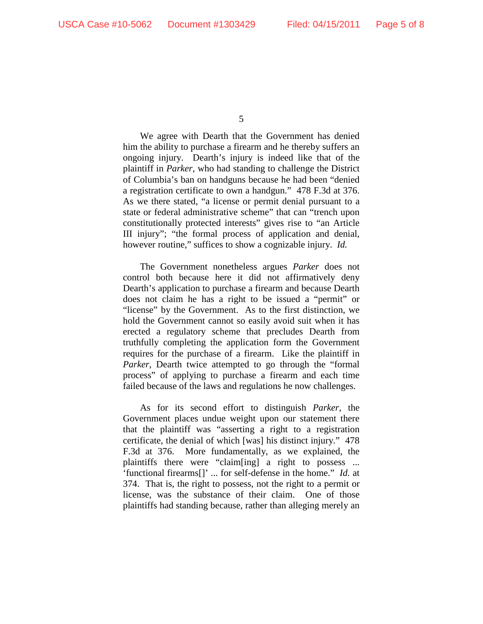We agree with Dearth that the Government has denied him the ability to purchase a firearm and he thereby suffers an ongoing injury. Dearth's injury is indeed like that of the plaintiff in *Parker*, who had standing to challenge the District of Columbia's ban on handguns because he had been "denied a registration certificate to own a handgun." 478 F.3d at 376. As we there stated, "a license or permit denial pursuant to a state or federal administrative scheme" that can "trench upon constitutionally protected interests" gives rise to "an Article III injury"; "the formal process of application and denial, however routine," suffices to show a cognizable injury. *Id.*

The Government nonetheless argues *Parker* does not control both because here it did not affirmatively deny Dearth's application to purchase a firearm and because Dearth does not claim he has a right to be issued a "permit" or "license" by the Government. As to the first distinction, we hold the Government cannot so easily avoid suit when it has erected a regulatory scheme that precludes Dearth from truthfully completing the application form the Government requires for the purchase of a firearm. Like the plaintiff in *Parker*, Dearth twice attempted to go through the "formal process" of applying to purchase a firearm and each time failed because of the laws and regulations he now challenges.

As for its second effort to distinguish *Parker*, the Government places undue weight upon our statement there that the plaintiff was "asserting a right to a registration certificate, the denial of which [was] his distinct injury." 478 F.3d at 376. More fundamentally, as we explained, the plaintiffs there were "claim[ing] a right to possess ... 'functional firearms[]' ... for self-defense in the home." *Id.* at 374. That is, the right to possess, not the right to a permit or license, was the substance of their claim. One of those plaintiffs had standing because, rather than alleging merely an

<sup>5</sup>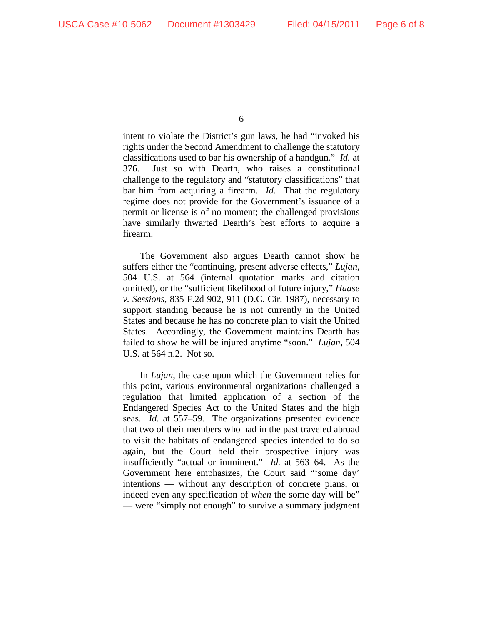intent to violate the District's gun laws, he had "invoked his rights under the Second Amendment to challenge the statutory classifications used to bar his ownership of a handgun." *Id.* at 376. Just so with Dearth, who raises a constitutional challenge to the regulatory and "statutory classifications" that bar him from acquiring a firearm. *Id.* That the regulatory regime does not provide for the Government's issuance of a permit or license is of no moment; the challenged provisions have similarly thwarted Dearth's best efforts to acquire a firearm.

The Government also argues Dearth cannot show he suffers either the "continuing, present adverse effects," *Lujan*, 504 U.S. at 564 (internal quotation marks and citation omitted), or the "sufficient likelihood of future injury," *Haase v. Sessions*, 835 F.2d 902, 911 (D.C. Cir. 1987), necessary to support standing because he is not currently in the United States and because he has no concrete plan to visit the United States. Accordingly, the Government maintains Dearth has failed to show he will be injured anytime "soon." *Lujan*, 504 U.S. at 564 n.2. Not so.

In *Lujan*, the case upon which the Government relies for this point, various environmental organizations challenged a regulation that limited application of a section of the Endangered Species Act to the United States and the high seas. *Id.* at 557–59. The organizations presented evidence that two of their members who had in the past traveled abroad to visit the habitats of endangered species intended to do so again, but the Court held their prospective injury was insufficiently "actual or imminent." *Id.* at 563–64. As the Government here emphasizes, the Court said "'some day' intentions — without any description of concrete plans, or indeed even any specification of *when* the some day will be" — were "simply not enough" to survive a summary judgment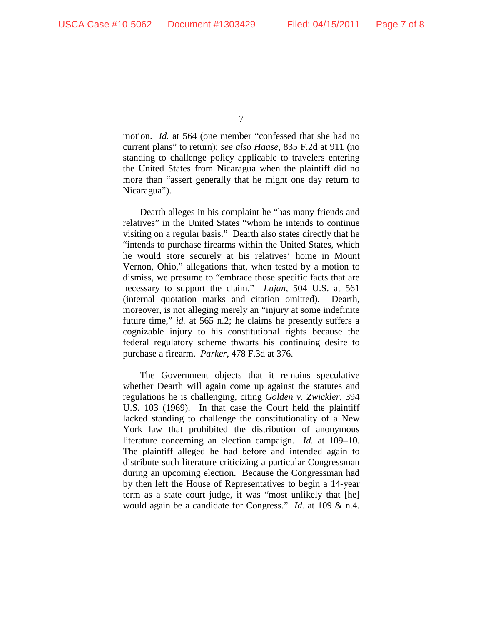motion. *Id.* at 564 (one member "confessed that she had no current plans" to return); *see also Haase*, 835 F.2d at 911 (no standing to challenge policy applicable to travelers entering the United States from Nicaragua when the plaintiff did no more than "assert generally that he might one day return to Nicaragua").

Dearth alleges in his complaint he "has many friends and relatives" in the United States "whom he intends to continue visiting on a regular basis." Dearth also states directly that he "intends to purchase firearms within the United States, which he would store securely at his relatives' home in Mount Vernon, Ohio," allegations that, when tested by a motion to dismiss, we presume to "embrace those specific facts that are necessary to support the claim." *Lujan*, 504 U.S. at 561 (internal quotation marks and citation omitted). Dearth, moreover, is not alleging merely an "injury at some indefinite future time," *id.* at 565 n.2; he claims he presently suffers a cognizable injury to his constitutional rights because the federal regulatory scheme thwarts his continuing desire to purchase a firearm. *Parker*, 478 F.3d at 376.

The Government objects that it remains speculative whether Dearth will again come up against the statutes and regulations he is challenging, citing *Golden v. Zwickler*, 394 U.S. 103 (1969). In that case the Court held the plaintiff lacked standing to challenge the constitutionality of a New York law that prohibited the distribution of anonymous literature concerning an election campaign. *Id.* at 109–10. The plaintiff alleged he had before and intended again to distribute such literature criticizing a particular Congressman during an upcoming election. Because the Congressman had by then left the House of Representatives to begin a 14-year term as a state court judge, it was "most unlikely that [he] would again be a candidate for Congress." *Id.* at 109 & n.4.